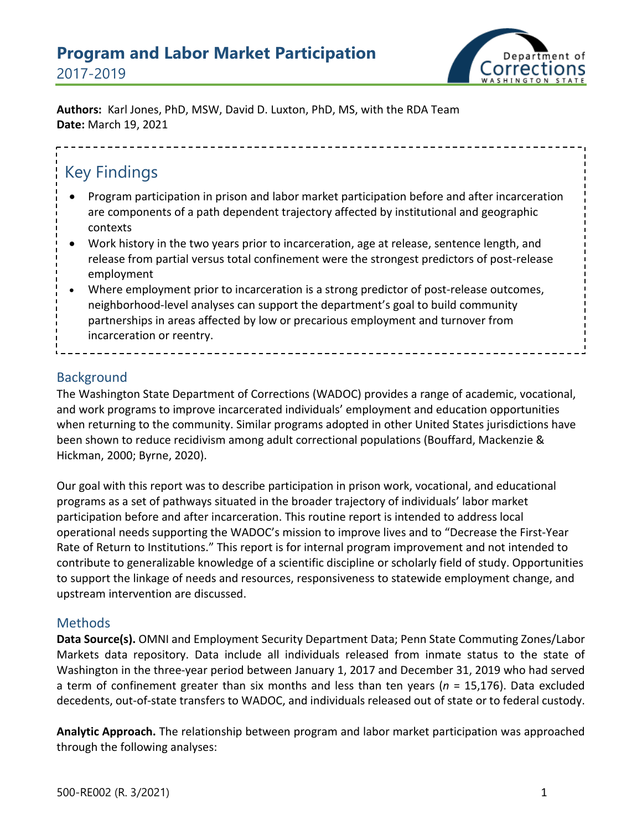# **Program and Labor Market Participation** 2017-2019



**Authors:** Karl Jones, PhD, MSW, David D. Luxton, PhD, MS, with the RDA Team **Date:** March 19, 2021

# Key Findings

- Program participation in prison and labor market participation before and after incarceration are components of a path dependent trajectory affected by institutional and geographic contexts
- Work history in the two years prior to incarceration, age at release, sentence length, and release from partial versus total confinement were the strongest predictors of post-release employment
- Where employment prior to incarceration is a strong predictor of post-release outcomes, neighborhood-level analyses can support the department's goal to build community partnerships in areas affected by low or precarious employment and turnover from incarceration or reentry.

## Background

The Washington State Department of Corrections (WADOC) provides a range of academic, vocational, and work programs to improve incarcerated individuals' employment and education opportunities when returning to the community. Similar programs adopted in other United States jurisdictions have been shown to reduce recidivism among adult correctional populations (Bouffard, Mackenzie & Hickman, 2000; Byrne, 2020).

Our goal with this report was to describe participation in prison work, vocational, and educational programs as a set of pathways situated in the broader trajectory of individuals' labor market participation before and after incarceration. This routine report is intended to address local operational needs supporting the WADOC's mission to improve lives and to "Decrease the First-Year Rate of Return to Institutions." This report is for internal program improvement and not intended to contribute to generalizable knowledge of a scientific discipline or scholarly field of study. Opportunities to support the linkage of needs and resources, responsiveness to statewide employment change, and upstream intervention are discussed.

#### **Methods**

**Data Source(s).** OMNI and Employment Security Department Data; Penn State Commuting Zones/Labor Markets data repository. Data include all individuals released from inmate status to the state of Washington in the three-year period between January 1, 2017 and December 31, 2019 who had served a term of confinement greater than six months and less than ten years (*n* = 15,176). Data excluded decedents, out-of-state transfers to WADOC, and individuals released out of state or to federal custody.

**Analytic Approach.** The relationship between program and labor market participation was approached through the following analyses: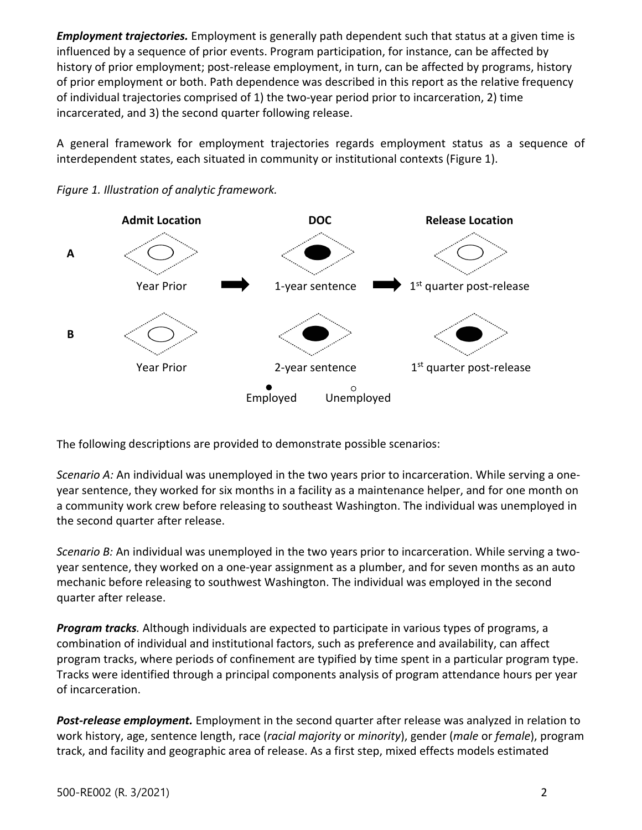*Employment trajectories.* Employment is generally path dependent such that status at a given time is influenced by a sequence of prior events. Program participation, for instance, can be affected by history of prior employment; post-release employment, in turn, can be affected by programs, history of prior employment or both. Path dependence was described in this report as the relative frequency of individual trajectories comprised of 1) the two-year period prior to incarceration, 2) time incarcerated, and 3) the second quarter following release.

A general framework for employment trajectories regards employment status as a sequence of interdependent states, each situated in community or institutional contexts (Figure 1).





The following descriptions are provided to demonstrate possible scenarios:

*Scenario A:* An individual was unemployed in the two years prior to incarceration. While serving a oneyear sentence, they worked for six months in a facility as a maintenance helper, and for one month on a community work crew before releasing to southeast Washington. The individual was unemployed in the second quarter after release.

*Scenario B:* An individual was unemployed in the two years prior to incarceration. While serving a twoyear sentence, they worked on a one-year assignment as a plumber, and for seven months as an auto mechanic before releasing to southwest Washington. The individual was employed in the second quarter after release.

*Program tracks.* Although individuals are expected to participate in various types of programs, a combination of individual and institutional factors, such as preference and availability, can affect program tracks, where periods of confinement are typified by time spent in a particular program type. Tracks were identified through a principal components analysis of program attendance hours per year of incarceration.

*Post-release employment.* Employment in the second quarter after release was analyzed in relation to work history, age, sentence length, race (*racial majority* or *minority*), gender (*male* or *female*), program track, and facility and geographic area of release. As a first step, mixed effects models estimated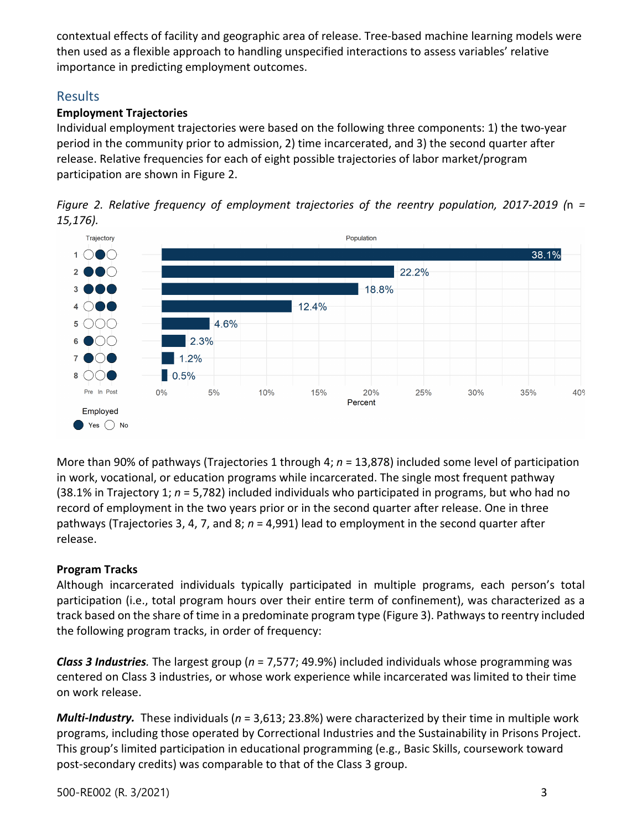contextual effects of facility and geographic area of release. Tree-based machine learning models were then used as a flexible approach to handling unspecified interactions to assess variables' relative importance in predicting employment outcomes.

## Results

#### **Employment Trajectories**

Individual employment trajectories were based on the following three components: 1) the two-year period in the community prior to admission, 2) time incarcerated, and 3) the second quarter after release. Relative frequencies for each of eight possible trajectories of labor market/program participation are shown in Figure 2.





More than 90% of pathways (Trajectories 1 through 4; *n* = 13,878) included some level of participation in work, vocational, or education programs while incarcerated. The single most frequent pathway (38.1% in Trajectory 1; *n* = 5,782) included individuals who participated in programs, but who had no record of employment in the two years prior or in the second quarter after release. One in three pathways (Trajectories 3, 4, 7, and 8; *n* = 4,991) lead to employment in the second quarter after release.

#### **Program Tracks**

Although incarcerated individuals typically participated in multiple programs, each person's total participation (i.e., total program hours over their entire term of confinement), was characterized as a track based on the share of time in a predominate program type (Figure 3). Pathways to reentry included the following program tracks, in order of frequency:

*Class 3 Industries.* The largest group (*n* = 7,577; 49.9%) included individuals whose programming was centered on Class 3 industries, or whose work experience while incarcerated was limited to their time on work release.

*Multi-Industry.* These individuals (*n* = 3,613; 23.8%) were characterized by their time in multiple work programs, including those operated by Correctional Industries and the Sustainability in Prisons Project. This group's limited participation in educational programming (e.g., Basic Skills, coursework toward post-secondary credits) was comparable to that of the Class 3 group.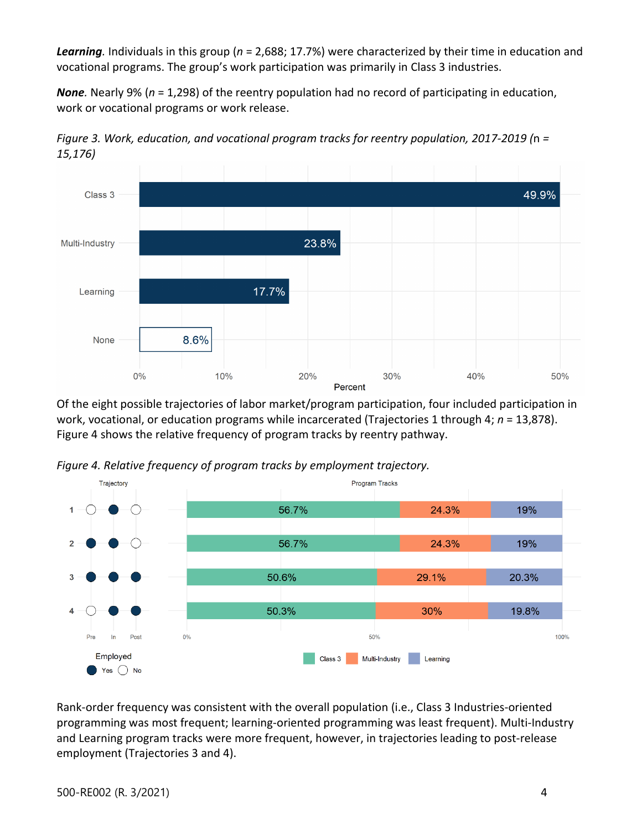*Learning.* Individuals in this group (*n* = 2,688; 17.7%) were characterized by their time in education and vocational programs. The group's work participation was primarily in Class 3 industries.

*None.* Nearly 9% (*n* = 1,298) of the reentry population had no record of participating in education, work or vocational programs or work release.



*Figure 3. Work, education, and vocational program tracks for reentry population, 2017-2019 (*n *= 15,176)* 

Of the eight possible trajectories of labor market/program participation, four included participation in work, vocational, or education programs while incarcerated (Trajectories 1 through 4; *n* = 13,878). Figure 4 shows the relative frequency of program tracks by reentry pathway.





Rank-order frequency was consistent with the overall population (i.e., Class 3 Industries-oriented programming was most frequent; learning-oriented programming was least frequent). Multi-Industry and Learning program tracks were more frequent, however, in trajectories leading to post-release employment (Trajectories 3 and 4).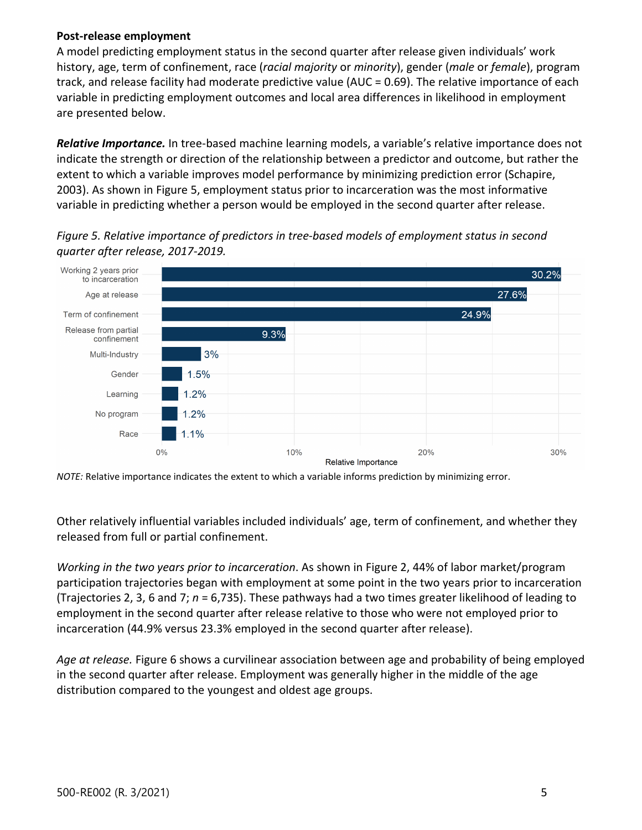#### **Post-release employment**

A model predicting employment status in the second quarter after release given individuals' work history, age, term of confinement, race (*racial majority* or *minority*), gender (*male* or *female*), program track, and release facility had moderate predictive value (AUC = 0.69). The relative importance of each variable in predicting employment outcomes and local area differences in likelihood in employment are presented below.

*Relative Importance.* In tree-based machine learning models, a variable's relative importance does not indicate the strength or direction of the relationship between a predictor and outcome, but rather the extent to which a variable improves model performance by minimizing prediction error (Schapire, 2003). As shown in Figure 5, employment status prior to incarceration was the most informative variable in predicting whether a person would be employed in the second quarter after release.

Working 2 years prior 30.2% to incarceration 27.6% Age at release 24.9% Term of confinement Release from partial  $9.3%$ confinement  $3%$ Multi-Industry 1.5% Gender  $1.2%$ Learning  $1.2%$ No program  $1.1%$ Race  $0%$ 10% 20% 30% Relative Importance

*Figure 5. Relative importance of predictors in tree-based models of employment status in second quarter after release, 2017-2019.* 

*NOTE:* Relative importance indicates the extent to which a variable informs prediction by minimizing error.

Other relatively influential variables included individuals' age, term of confinement, and whether they released from full or partial confinement.

*Working in the two years prior to incarceration*. As shown in Figure 2, 44% of labor market/program participation trajectories began with employment at some point in the two years prior to incarceration (Trajectories 2, 3, 6 and 7; *n* = 6,735). These pathways had a two times greater likelihood of leading to employment in the second quarter after release relative to those who were not employed prior to incarceration (44.9% versus 23.3% employed in the second quarter after release).

*Age at release.* Figure 6 shows a curvilinear association between age and probability of being employed in the second quarter after release. Employment was generally higher in the middle of the age distribution compared to the youngest and oldest age groups.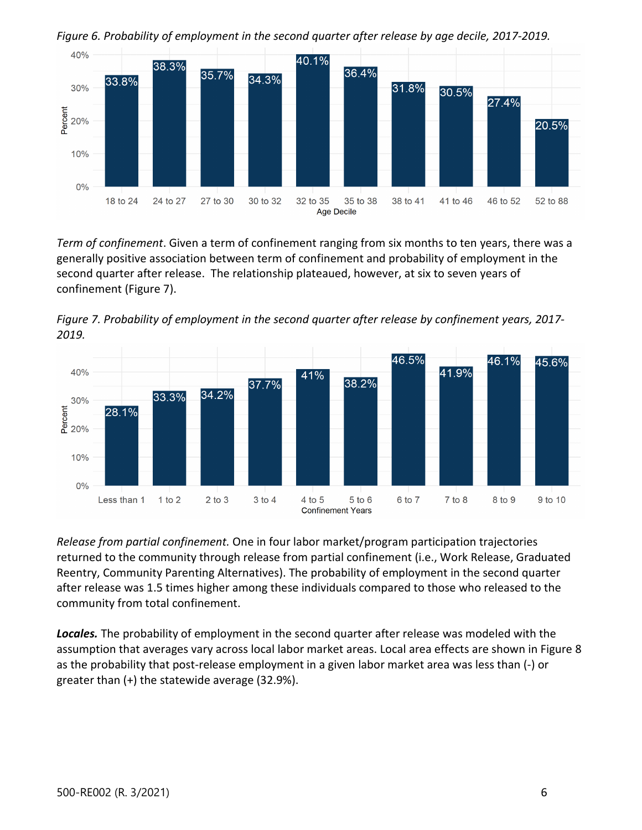

*Figure 6. Probability of employment in the second quarter after release by age decile, 2017-2019.* 

*Term of confinement*. Given a term of confinement ranging from six months to ten years, there was a generally positive association between term of confinement and probability of employment in the second quarter after release. The relationship plateaued, however, at six to seven years of confinement (Figure 7).





*Release from partial confinement.* One in four labor market/program participation trajectories returned to the community through release from partial confinement (i.e., Work Release, Graduated Reentry, Community Parenting Alternatives). The probability of employment in the second quarter after release was 1.5 times higher among these individuals compared to those who released to the community from total confinement.

*Locales.* The probability of employment in the second quarter after release was modeled with the assumption that averages vary across local labor market areas. Local area effects are shown in Figure 8 as the probability that post-release employment in a given labor market area was less than (-) or greater than (+) the statewide average (32.9%).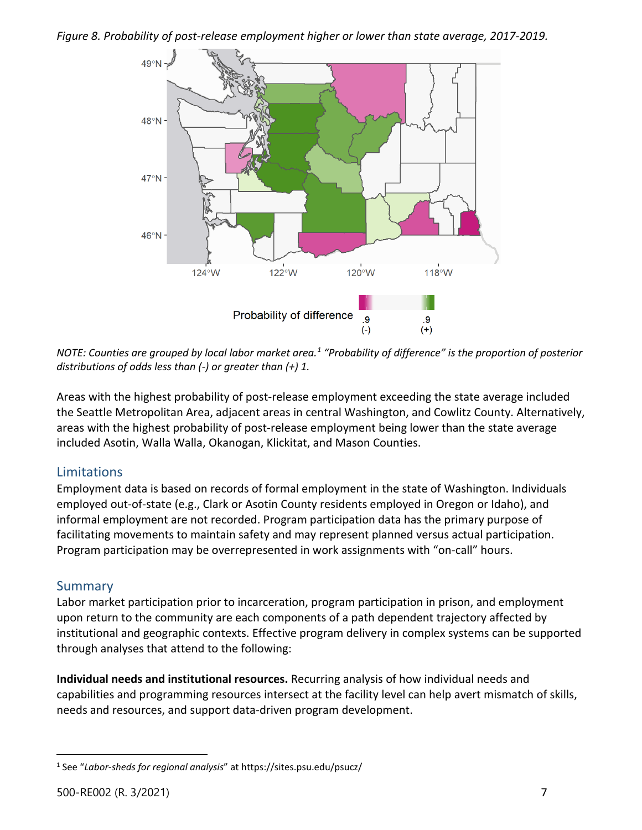#### *Figure 8. Probability of post-release employment higher or lower than state average, 2017-2019.*



*NOTE: Counties are grouped by local labor market area.[1](#page-6-0) "Probability of difference" is the proportion of posterior distributions of odds less than (-) or greater than (+) 1.* 

Areas with the highest probability of post-release employment exceeding the state average included the Seattle Metropolitan Area, adjacent areas in central Washington, and Cowlitz County. Alternatively, areas with the highest probability of post-release employment being lower than the state average included Asotin, Walla Walla, Okanogan, Klickitat, and Mason Counties.

#### Limitations

Employment data is based on records of formal employment in the state of Washington. Individuals employed out-of-state (e.g., Clark or Asotin County residents employed in Oregon or Idaho), and informal employment are not recorded. Program participation data has the primary purpose of facilitating movements to maintain safety and may represent planned versus actual participation. Program participation may be overrepresented in work assignments with "on-call" hours.

#### **Summary**

Labor market participation prior to incarceration, program participation in prison, and employment upon return to the community are each components of a path dependent trajectory affected by institutional and geographic contexts. Effective program delivery in complex systems can be supported through analyses that attend to the following:

**Individual needs and institutional resources.** Recurring analysis of how individual needs and capabilities and programming resources intersect at the facility level can help avert mismatch of skills, needs and resources, and support data-driven program development.

<span id="page-6-0"></span><sup>1</sup> See "*Labor-sheds for regional analysis*" at https://sites.psu.edu/psucz/